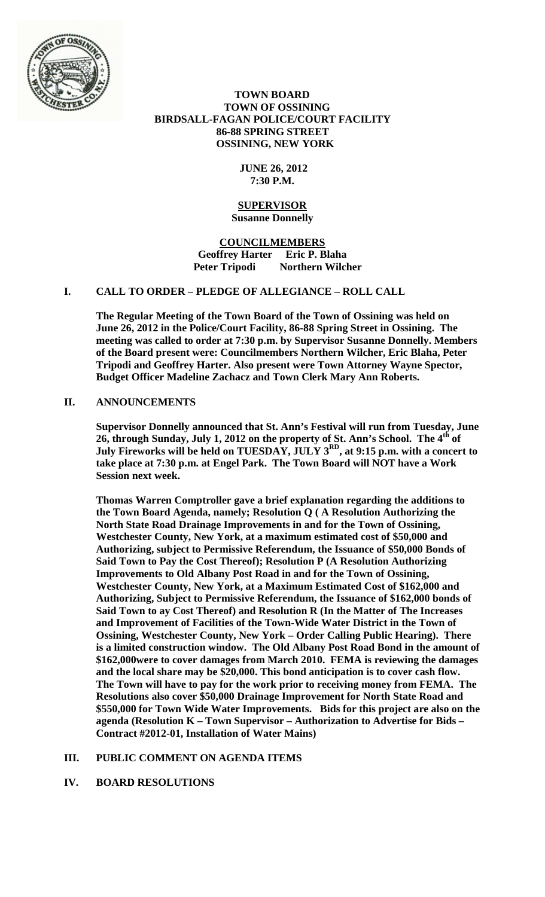

# **TOWN BOARD TOWN OF OSSINING BIRDSALL-FAGAN POLICE/COURT FACILITY 86-88 SPRING STREET OSSINING, NEW YORK**

# **JUNE 26, 2012 7:30 P.M.**

#### **SUPERVISOR Susanne Donnelly**

**COUNCILMEMBERS Geoffrey Harter Eric P. Blaha Peter Tripodi Northern Wilcher**

# **I. CALL TO ORDER – PLEDGE OF ALLEGIANCE – ROLL CALL**

**The Regular Meeting of the Town Board of the Town of Ossining was held on June 26, 2012 in the Police/Court Facility, 86-88 Spring Street in Ossining. The meeting was called to order at 7:30 p.m. by Supervisor Susanne Donnelly. Members of the Board present were: Councilmembers Northern Wilcher, Eric Blaha, Peter Tripodi and Geoffrey Harter. Also present were Town Attorney Wayne Spector, Budget Officer Madeline Zachacz and Town Clerk Mary Ann Roberts.**

# **II. ANNOUNCEMENTS**

**Supervisor Donnelly announced that St. Ann's Festival will run from Tuesday, June 26, through Sunday, July 1, 2012 on the property of St. Ann's School. The 4th of July Fireworks will be held on TUESDAY, JULY 3RD, at 9:15 p.m. with a concert to take place at 7:30 p.m. at Engel Park. The Town Board will NOT have a Work Session next week.**

**Thomas Warren Comptroller gave a brief explanation regarding the additions to the Town Board Agenda, namely; Resolution Q ( A Resolution Authorizing the North State Road Drainage Improvements in and for the Town of Ossining, Westchester County, New York, at a maximum estimated cost of \$50,000 and Authorizing, subject to Permissive Referendum, the Issuance of \$50,000 Bonds of Said Town to Pay the Cost Thereof); Resolution P (A Resolution Authorizing Improvements to Old Albany Post Road in and for the Town of Ossining, Westchester County, New York, at a Maximum Estimated Cost of \$162,000 and Authorizing, Subject to Permissive Referendum, the Issuance of \$162,000 bonds of Said Town to ay Cost Thereof) and Resolution R (In the Matter of The Increases and Improvement of Facilities of the Town-Wide Water District in the Town of Ossining, Westchester County, New York – Order Calling Public Hearing). There is a limited construction window. The Old Albany Post Road Bond in the amount of \$162,000were to cover damages from March 2010. FEMA is reviewing the damages and the local share may be \$20,000. This bond anticipation is to cover cash flow. The Town will have to pay for the work prior to receiving money from FEMA. The Resolutions also cover \$50,000 Drainage Improvement for North State Road and \$550,000 for Town Wide Water Improvements. Bids for this project are also on the agenda (Resolution K – Town Supervisor – Authorization to Advertise for Bids – Contract #2012-01, Installation of Water Mains)**

# **III. PUBLIC COMMENT ON AGENDA ITEMS**

# **IV. BOARD RESOLUTIONS**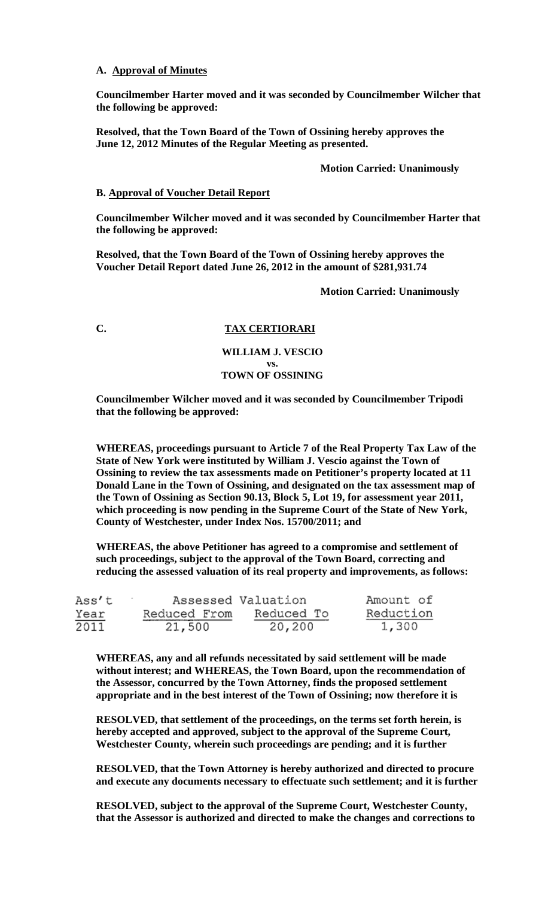# **A. Approval of Minutes**

**Councilmember Harter moved and it was seconded by Councilmember Wilcher that the following be approved:**

**Resolved, that the Town Board of the Town of Ossining hereby approves the June 12, 2012 Minutes of the Regular Meeting as presented.**

#### **Motion Carried: Unanimously**

#### **B. Approval of Voucher Detail Report**

**Councilmember Wilcher moved and it was seconded by Councilmember Harter that the following be approved:**

**Resolved, that the Town Board of the Town of Ossining hereby approves the Voucher Detail Report dated June 26, 2012 in the amount of \$281,931.74**

**Motion Carried: Unanimously**

# **C. TAX CERTIORARI**

## **WILLIAM J. VESCIO vs. TOWN OF OSSINING**

**Councilmember Wilcher moved and it was seconded by Councilmember Tripodi that the following be approved:**

**WHEREAS, proceedings pursuant to Article 7 of the Real Property Tax Law of the State of New York were instituted by William J. Vescio against the Town of Ossining to review the tax assessments made on Petitioner's property located at 11 Donald Lane in the Town of Ossining, and designated on the tax assessment map of the Town of Ossining as Section 90.13, Block 5, Lot 19, for assessment year 2011, which proceeding is now pending in the Supreme Court of the State of New York, County of Westchester, under Index Nos. 15700/2011; and** 

**WHEREAS, the above Petitioner has agreed to a compromise and settlement of such proceedings, subject to the approval of the Town Board, correcting and reducing the assessed valuation of its real property and improvements, as follows:** 

| Ass't |              | Assessed Valuation | Amount of |  |
|-------|--------------|--------------------|-----------|--|
| Year  | Reduced From | Reduced To         | Reduction |  |
| 2011  | 21,500       | 20,200             | 1,300     |  |

**WHEREAS, any and all refunds necessitated by said settlement will be made without interest; and WHEREAS, the Town Board, upon the recommendation of the Assessor, concurred by the Town Attorney, finds the proposed settlement appropriate and in the best interest of the Town of Ossining; now therefore it is** 

**RESOLVED, that settlement of the proceedings, on the terms set forth herein, is hereby accepted and approved, subject to the approval of the Supreme Court, Westchester County, wherein such proceedings are pending; and it is further** 

**RESOLVED, that the Town Attorney is hereby authorized and directed to procure and execute any documents necessary to effectuate such settlement; and it is further** 

**RESOLVED, subject to the approval of the Supreme Court, Westchester County, that the Assessor is authorized and directed to make the changes and corrections to**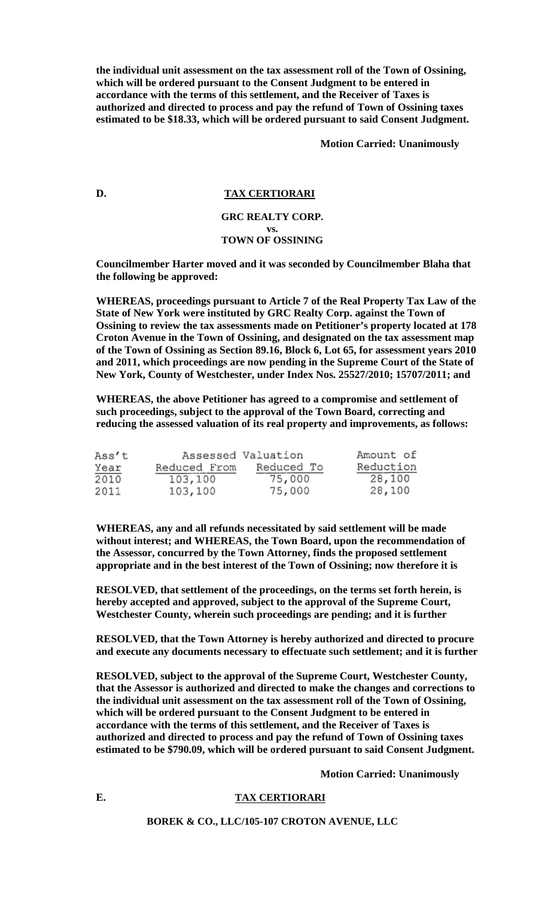**the individual unit assessment on the tax assessment roll of the Town of Ossining, which will be ordered pursuant to the Consent Judgment to be entered in accordance with the terms of this settlement, and the Receiver of Taxes is authorized and directed to process and pay the refund of Town of Ossining taxes estimated to be \$18.33, which will be ordered pursuant to said Consent Judgment.**

**Motion Carried: Unanimously**

#### **D. TAX CERTIORARI**

## **GRC REALTY CORP. vs. TOWN OF OSSINING**

**Councilmember Harter moved and it was seconded by Councilmember Blaha that the following be approved:**

**WHEREAS, proceedings pursuant to Article 7 of the Real Property Tax Law of the State of New York were instituted by GRC Realty Corp. against the Town of Ossining to review the tax assessments made on Petitioner's property located at 178 Croton Avenue in the Town of Ossining, and designated on the tax assessment map of the Town of Ossining as Section 89.16, Block 6, Lot 65, for assessment years 2010 and 2011, which proceedings are now pending in the Supreme Court of the State of New York, County of Westchester, under Index Nos. 25527/2010; 15707/2011; and** 

**WHEREAS, the above Petitioner has agreed to a compromise and settlement of such proceedings, subject to the approval of the Town Board, correcting and reducing the assessed valuation of its real property and improvements, as follows:** 

| Ass't |              | Assessed Valuation | Amount of |
|-------|--------------|--------------------|-----------|
| Year  | Reduced From | Reduced To         | Reduction |
| 2010  | 103,100      | 75,000             | 28,100    |
| 2011  | 103,100      | 75,000             | 28,100    |

**WHEREAS, any and all refunds necessitated by said settlement will be made without interest; and WHEREAS, the Town Board, upon the recommendation of the Assessor, concurred by the Town Attorney, finds the proposed settlement appropriate and in the best interest of the Town of Ossining; now therefore it is** 

**RESOLVED, that settlement of the proceedings, on the terms set forth herein, is hereby accepted and approved, subject to the approval of the Supreme Court, Westchester County, wherein such proceedings are pending; and it is further** 

**RESOLVED, that the Town Attorney is hereby authorized and directed to procure and execute any documents necessary to effectuate such settlement; and it is further** 

**RESOLVED, subject to the approval of the Supreme Court, Westchester County, that the Assessor is authorized and directed to make the changes and corrections to the individual unit assessment on the tax assessment roll of the Town of Ossining, which will be ordered pursuant to the Consent Judgment to be entered in accordance with the terms of this settlement, and the Receiver of Taxes is authorized and directed to process and pay the refund of Town of Ossining taxes estimated to be \$790.09, which will be ordered pursuant to said Consent Judgment.**

**Motion Carried: Unanimously**

### **E. TAX CERTIORARI**

**BOREK & CO., LLC/105-107 CROTON AVENUE, LLC**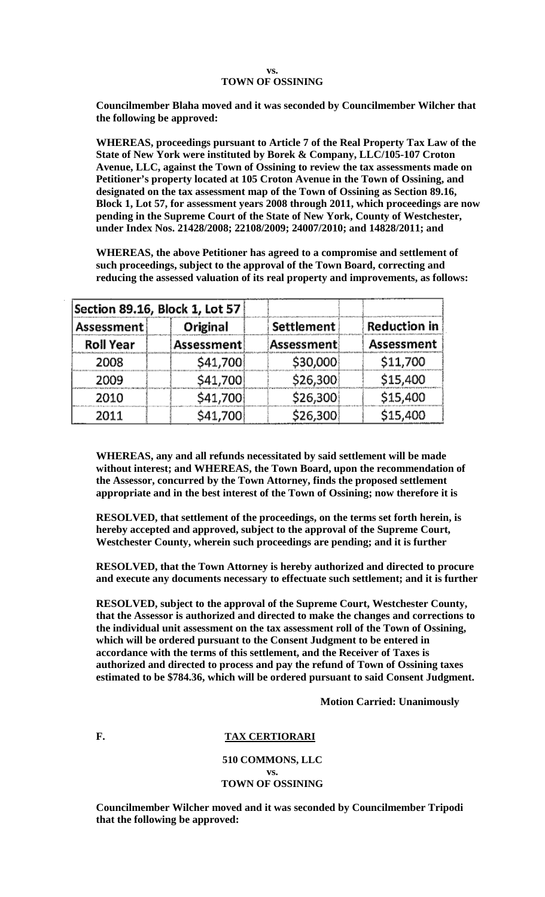#### **vs. TOWN OF OSSINING**

**Councilmember Blaha moved and it was seconded by Councilmember Wilcher that the following be approved:**

**WHEREAS, proceedings pursuant to Article 7 of the Real Property Tax Law of the State of New York were instituted by Borek & Company, LLC/105-107 Croton Avenue, LLC, against the Town of Ossining to review the tax assessments made on Petitioner's property located at 105 Croton Avenue in the Town of Ossining, and designated on the tax assessment map of the Town of Ossining as Section 89.16, Block 1, Lot 57, for assessment years 2008 through 2011, which proceedings are now pending in the Supreme Court of the State of New York, County of Westchester, under Index Nos. 21428/2008; 22108/2009; 24007/2010; and 14828/2011; and** 

**WHEREAS, the above Petitioner has agreed to a compromise and settlement of such proceedings, subject to the approval of the Town Board, correcting and reducing the assessed valuation of its real property and improvements, as follows:** 

| Section 89.16, Block 1, Lot 57 |            |            |                     |  |  |
|--------------------------------|------------|------------|---------------------|--|--|
| Assessment                     | Original   | Settlement | <b>Reduction in</b> |  |  |
| <b>Roll Year</b>               | Assessment | Assessment | <b>Assessment</b>   |  |  |
| 2008                           | \$41,700   | \$30,000   | \$11,700            |  |  |
| 2009                           | \$41,700   | \$26,300   | \$15,400            |  |  |
| 2010                           | \$41,700   | \$26,300   | \$15,400            |  |  |
| 2011                           | \$41,700   | \$26,300   | \$15,400            |  |  |

**WHEREAS, any and all refunds necessitated by said settlement will be made without interest; and WHEREAS, the Town Board, upon the recommendation of the Assessor, concurred by the Town Attorney, finds the proposed settlement appropriate and in the best interest of the Town of Ossining; now therefore it is** 

**RESOLVED, that settlement of the proceedings, on the terms set forth herein, is hereby accepted and approved, subject to the approval of the Supreme Court, Westchester County, wherein such proceedings are pending; and it is further** 

**RESOLVED, that the Town Attorney is hereby authorized and directed to procure and execute any documents necessary to effectuate such settlement; and it is further** 

**RESOLVED, subject to the approval of the Supreme Court, Westchester County, that the Assessor is authorized and directed to make the changes and corrections to the individual unit assessment on the tax assessment roll of the Town of Ossining, which will be ordered pursuant to the Consent Judgment to be entered in accordance with the terms of this settlement, and the Receiver of Taxes is authorized and directed to process and pay the refund of Town of Ossining taxes estimated to be \$784.36, which will be ordered pursuant to said Consent Judgment.**

**Motion Carried: Unanimously**

# F. TAX CERTIORARI

# **510 COMMONS, LLC vs. TOWN OF OSSINING**

**Councilmember Wilcher moved and it was seconded by Councilmember Tripodi that the following be approved:**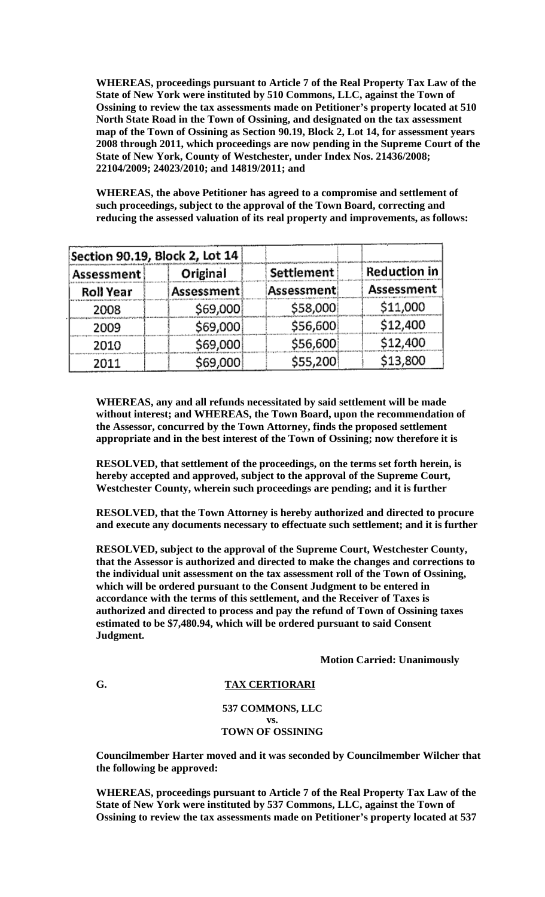**WHEREAS, proceedings pursuant to Article 7 of the Real Property Tax Law of the State of New York were instituted by 510 Commons, LLC, against the Town of Ossining to review the tax assessments made on Petitioner's property located at 510 North State Road in the Town of Ossining, and designated on the tax assessment map of the Town of Ossining as Section 90.19, Block 2, Lot 14, for assessment years 2008 through 2011, which proceedings are now pending in the Supreme Court of the State of New York, County of Westchester, under Index Nos. 21436/2008; 22104/2009; 24023/2010; and 14819/2011; and** 

**WHEREAS, the above Petitioner has agreed to a compromise and settlement of such proceedings, subject to the approval of the Town Board, correcting and reducing the assessed valuation of its real property and improvements, as follows:** 

| Section 90.19, Block 2, Lot 14 |            |            |                     |  |  |  |
|--------------------------------|------------|------------|---------------------|--|--|--|
| Assessment                     | Original   | Settlement | <b>Reduction in</b> |  |  |  |
| <b>Roll Year</b>               | Assessment | Assessment | Assessment          |  |  |  |
| 2008                           | \$69,000   | \$58,000   | \$11,000            |  |  |  |
| 2009                           | \$69,000   | \$56,600   | \$12,400            |  |  |  |
| 2010                           | \$69,000   | \$56,600   | \$12,400            |  |  |  |
| 2011                           | \$69,000   | \$55,200   | \$13,800            |  |  |  |

**WHEREAS, any and all refunds necessitated by said settlement will be made without interest; and WHEREAS, the Town Board, upon the recommendation of the Assessor, concurred by the Town Attorney, finds the proposed settlement appropriate and in the best interest of the Town of Ossining; now therefore it is** 

**RESOLVED, that settlement of the proceedings, on the terms set forth herein, is hereby accepted and approved, subject to the approval of the Supreme Court, Westchester County, wherein such proceedings are pending; and it is further** 

**RESOLVED, that the Town Attorney is hereby authorized and directed to procure and execute any documents necessary to effectuate such settlement; and it is further** 

**RESOLVED, subject to the approval of the Supreme Court, Westchester County, that the Assessor is authorized and directed to make the changes and corrections to the individual unit assessment on the tax assessment roll of the Town of Ossining, which will be ordered pursuant to the Consent Judgment to be entered in accordance with the terms of this settlement, and the Receiver of Taxes is authorized and directed to process and pay the refund of Town of Ossining taxes estimated to be \$7,480.94, which will be ordered pursuant to said Consent Judgment.**

**Motion Carried: Unanimously**

# **G. TAX CERTIORARI**

#### **537 COMMONS, LLC vs. TOWN OF OSSINING**

**Councilmember Harter moved and it was seconded by Councilmember Wilcher that the following be approved:**

**WHEREAS, proceedings pursuant to Article 7 of the Real Property Tax Law of the State of New York were instituted by 537 Commons, LLC, against the Town of Ossining to review the tax assessments made on Petitioner's property located at 537**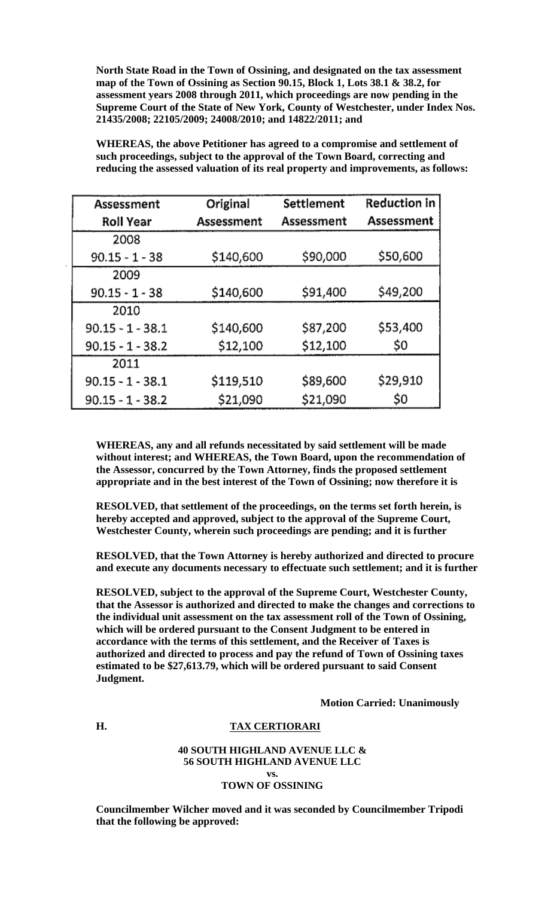**North State Road in the Town of Ossining, and designated on the tax assessment map of the Town of Ossining as Section 90.15, Block 1, Lots 38.1 & 38.2, for assessment years 2008 through 2011, which proceedings are now pending in the Supreme Court of the State of New York, County of Westchester, under Index Nos. 21435/2008; 22105/2009; 24008/2010; and 14822/2011; and** 

**WHEREAS, the above Petitioner has agreed to a compromise and settlement of such proceedings, subject to the approval of the Town Board, correcting and reducing the assessed valuation of its real property and improvements, as follows:** 

| Assessment         | Original   | Settlement | <b>Reduction in</b> |
|--------------------|------------|------------|---------------------|
| <b>Roll Year</b>   | Assessment | Assessment | Assessment          |
| 2008               |            |            |                     |
| $90.15 - 1 - 38$   | \$140,600  | \$90,000   | \$50,600            |
| 2009               |            |            |                     |
| $90.15 - 1 - 38$   | \$140,600  | \$91,400   | \$49,200            |
| 2010               |            |            |                     |
| $90.15 - 1 - 38.1$ | \$140,600  | \$87,200   | \$53,400            |
| $90.15 - 1 - 38.2$ | \$12,100   | \$12,100   | \$0                 |
| 2011               |            |            |                     |
| $90.15 - 1 - 38.1$ | \$119,510  | \$89,600   | \$29,910            |
| $90.15 - 1 - 38.2$ | \$21,090   | \$21,090   | \$0                 |

**WHEREAS, any and all refunds necessitated by said settlement will be made without interest; and WHEREAS, the Town Board, upon the recommendation of the Assessor, concurred by the Town Attorney, finds the proposed settlement appropriate and in the best interest of the Town of Ossining; now therefore it is** 

**RESOLVED, that settlement of the proceedings, on the terms set forth herein, is hereby accepted and approved, subject to the approval of the Supreme Court, Westchester County, wherein such proceedings are pending; and it is further** 

**RESOLVED, that the Town Attorney is hereby authorized and directed to procure and execute any documents necessary to effectuate such settlement; and it is further** 

**RESOLVED, subject to the approval of the Supreme Court, Westchester County, that the Assessor is authorized and directed to make the changes and corrections to the individual unit assessment on the tax assessment roll of the Town of Ossining, which will be ordered pursuant to the Consent Judgment to be entered in accordance with the terms of this settlement, and the Receiver of Taxes is authorized and directed to process and pay the refund of Town of Ossining taxes estimated to be \$27,613.79, which will be ordered pursuant to said Consent Judgment.**

**Motion Carried: Unanimously**

# **H. TAX CERTIORARI**

## **40 SOUTH HIGHLAND AVENUE LLC & 56 SOUTH HIGHLAND AVENUE LLC vs. TOWN OF OSSINING**

**Councilmember Wilcher moved and it was seconded by Councilmember Tripodi that the following be approved:**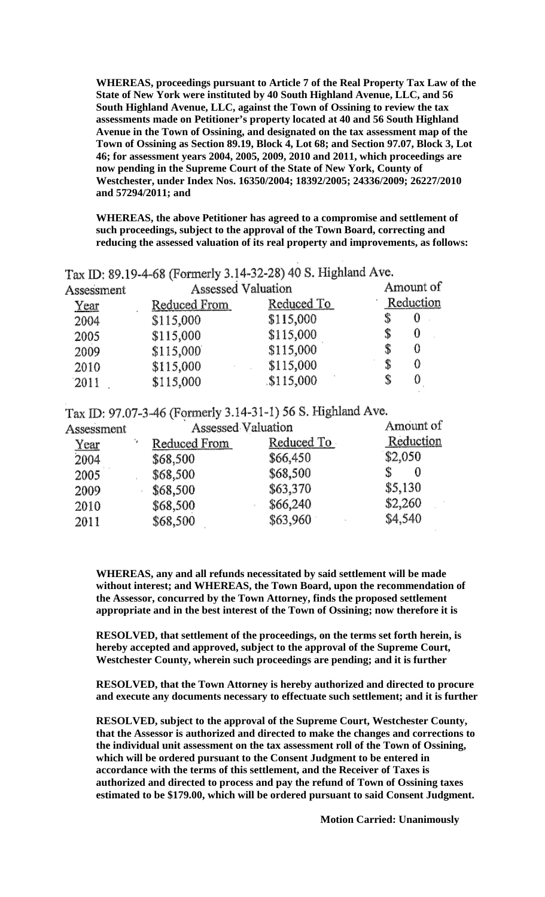**WHEREAS, proceedings pursuant to Article 7 of the Real Property Tax Law of the State of New York were instituted by 40 South Highland Avenue, LLC, and 56 South Highland Avenue, LLC, against the Town of Ossining to review the tax assessments made on Petitioner's property located at 40 and 56 South Highland Avenue in the Town of Ossining, and designated on the tax assessment map of the Town of Ossining as Section 89.19, Block 4, Lot 68; and Section 97.07, Block 3, Lot 46; for assessment years 2004, 2005, 2009, 2010 and 2011, which proceedings are now pending in the Supreme Court of the State of New York, County of Westchester, under Index Nos. 16350/2004; 18392/2005; 24336/2009; 26227/2010 and 57294/2011; and** 

**WHEREAS, the above Petitioner has agreed to a compromise and settlement of such proceedings, subject to the approval of the Town Board, correcting and reducing the assessed valuation of its real property and improvements, as follows:** 

| Assessment  | Assessed Valuation |            | Amount of |   |
|-------------|--------------------|------------|-----------|---|
| <u>Year</u> | Reduced From       | Reduced To | Reduction |   |
| 2004        | \$115,000          | \$115,000  |           | 0 |
| 2005        | \$115,000          | \$115,000  |           | 0 |
| 2009        | \$115,000          | \$115,000  |           | 0 |
| 2010        | \$115,000          | \$115,000  |           | 0 |
| 2011        | \$115,000          | \$115,000  |           |   |

Tax ID: 89.19-4-68 (Formerly 3.14-32-28) 40 S. Highland Ave.

Tax ID: 97.07-3-46 (Formerly 3.14-31-1) 56 S. Highland Ave.

| Assessment | Assessed Valuation |            | Amount of |
|------------|--------------------|------------|-----------|
| Year       | Reduced From       | Reduced To | Reduction |
| 2004       | \$68,500           | \$66,450   | \$2,050   |
| 2005       | \$68,500           | \$68,500   | 0         |
| 2009       | \$68,500           | \$63,370   | \$5,130   |
| 2010       | \$68,500           | \$66,240   | \$2,260   |
| 2011       | \$68,500           | \$63,960   | \$4,540   |

**WHEREAS, any and all refunds necessitated by said settlement will be made without interest; and WHEREAS, the Town Board, upon the recommendation of the Assessor, concurred by the Town Attorney, finds the proposed settlement appropriate and in the best interest of the Town of Ossining; now therefore it is** 

**RESOLVED, that settlement of the proceedings, on the terms set forth herein, is hereby accepted and approved, subject to the approval of the Supreme Court, Westchester County, wherein such proceedings are pending; and it is further** 

**RESOLVED, that the Town Attorney is hereby authorized and directed to procure and execute any documents necessary to effectuate such settlement; and it is further** 

**RESOLVED, subject to the approval of the Supreme Court, Westchester County, that the Assessor is authorized and directed to make the changes and corrections to the individual unit assessment on the tax assessment roll of the Town of Ossining, which will be ordered pursuant to the Consent Judgment to be entered in accordance with the terms of this settlement, and the Receiver of Taxes is authorized and directed to process and pay the refund of Town of Ossining taxes estimated to be \$179.00, which will be ordered pursuant to said Consent Judgment.**

**Motion Carried: Unanimously**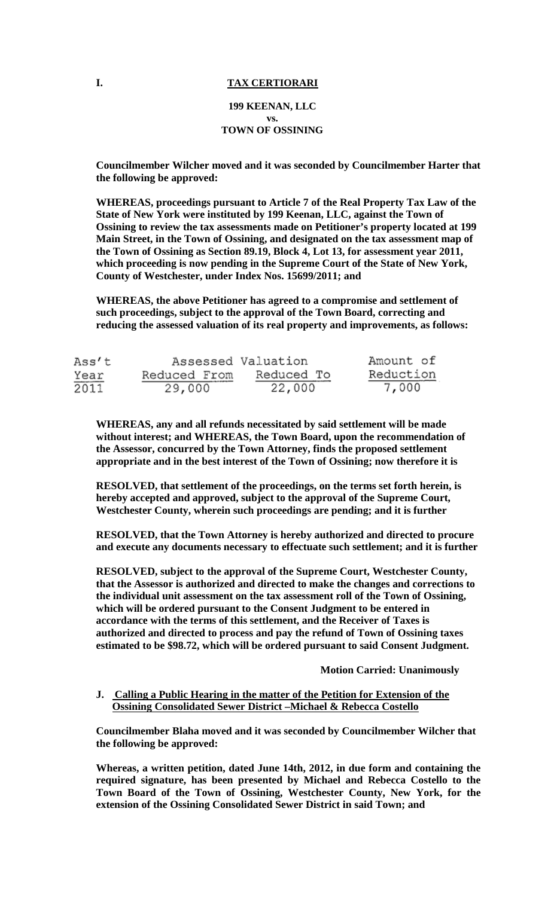# **I. TAX CERTIORARI**

# **199 KEENAN, LLC vs. TOWN OF OSSINING**

**Councilmember Wilcher moved and it was seconded by Councilmember Harter that the following be approved:**

**WHEREAS, proceedings pursuant to Article 7 of the Real Property Tax Law of the State of New York were instituted by 199 Keenan, LLC, against the Town of Ossining to review the tax assessments made on Petitioner's property located at 199 Main Street, in the Town of Ossining, and designated on the tax assessment map of the Town of Ossining as Section 89.19, Block 4, Lot 13, for assessment year 2011, which proceeding is now pending in the Supreme Court of the State of New York, County of Westchester, under Index Nos. 15699/2011; and** 

**WHEREAS, the above Petitioner has agreed to a compromise and settlement of such proceedings, subject to the approval of the Town Board, correcting and reducing the assessed valuation of its real property and improvements, as follows:** 

| Ass't |              | Assessed Valuation | Amount of |
|-------|--------------|--------------------|-----------|
| Year  | Reduced From | Reduced To         | Reduction |
| 2011  | 29,000       | 22,000             | 7,000     |

**WHEREAS, any and all refunds necessitated by said settlement will be made without interest; and WHEREAS, the Town Board, upon the recommendation of the Assessor, concurred by the Town Attorney, finds the proposed settlement appropriate and in the best interest of the Town of Ossining; now therefore it is** 

**RESOLVED, that settlement of the proceedings, on the terms set forth herein, is hereby accepted and approved, subject to the approval of the Supreme Court, Westchester County, wherein such proceedings are pending; and it is further** 

**RESOLVED, that the Town Attorney is hereby authorized and directed to procure and execute any documents necessary to effectuate such settlement; and it is further** 

**RESOLVED, subject to the approval of the Supreme Court, Westchester County, that the Assessor is authorized and directed to make the changes and corrections to the individual unit assessment on the tax assessment roll of the Town of Ossining, which will be ordered pursuant to the Consent Judgment to be entered in accordance with the terms of this settlement, and the Receiver of Taxes is authorized and directed to process and pay the refund of Town of Ossining taxes estimated to be \$98.72, which will be ordered pursuant to said Consent Judgment.**

**Motion Carried: Unanimously**

## **J. Calling a Public Hearing in the matter of the Petition for Extension of the Ossining Consolidated Sewer District –Michael & Rebecca Costello**

**Councilmember Blaha moved and it was seconded by Councilmember Wilcher that the following be approved:**

**Whereas, a written petition, dated June 14th, 2012, in due form and containing the required signature, has been presented by Michael and Rebecca Costello to the Town Board of the Town of Ossining, Westchester County, New York, for the extension of the Ossining Consolidated Sewer District in said Town; and**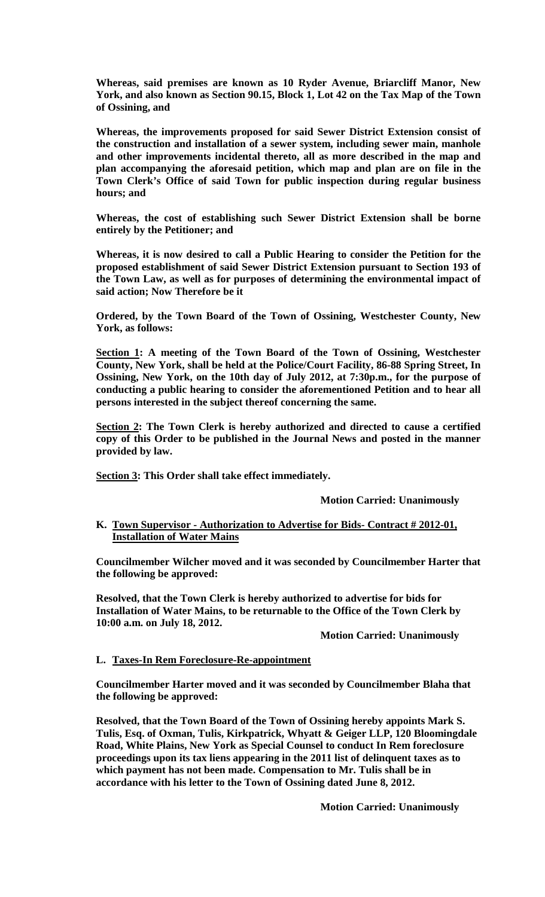**Whereas, said premises are known as 10 Ryder Avenue, Briarcliff Manor, New York, and also known as Section 90.15, Block 1, Lot 42 on the Tax Map of the Town of Ossining, and** 

**Whereas, the improvements proposed for said Sewer District Extension consist of the construction and installation of a sewer system, including sewer main, manhole and other improvements incidental thereto, all as more described in the map and plan accompanying the aforesaid petition, which map and plan are on file in the Town Clerk's Office of said Town for public inspection during regular business hours; and**

**Whereas, the cost of establishing such Sewer District Extension shall be borne entirely by the Petitioner; and**

**Whereas, it is now desired to call a Public Hearing to consider the Petition for the proposed establishment of said Sewer District Extension pursuant to Section 193 of the Town Law, as well as for purposes of determining the environmental impact of said action; Now Therefore be it**

**Ordered, by the Town Board of the Town of Ossining, Westchester County, New York, as follows:**

**Section 1: A meeting of the Town Board of the Town of Ossining, Westchester County, New York, shall be held at the Police/Court Facility, 86-88 Spring Street, In Ossining, New York, on the 10th day of July 2012, at 7:30p.m., for the purpose of conducting a public hearing to consider the aforementioned Petition and to hear all persons interested in the subject thereof concerning the same.**

**Section 2: The Town Clerk is hereby authorized and directed to cause a certified copy of this Order to be published in the Journal News and posted in the manner provided by law.**

**Section 3: This Order shall take effect immediately.** 

**Motion Carried: Unanimously**

## **K. Town Supervisor - Authorization to Advertise for Bids- Contract # 2012-01, Installation of Water Mains**

**Councilmember Wilcher moved and it was seconded by Councilmember Harter that the following be approved:**

**Resolved, that the Town Clerk is hereby authorized to advertise for bids for Installation of Water Mains, to be returnable to the Office of the Town Clerk by 10:00 a.m. on July 18, 2012.** 

**Motion Carried: Unanimously**

# **L. Taxes-In Rem Foreclosure-Re-appointment**

**Councilmember Harter moved and it was seconded by Councilmember Blaha that the following be approved:**

**Resolved, that the Town Board of the Town of Ossining hereby appoints Mark S. Tulis, Esq. of Oxman, Tulis, Kirkpatrick, Whyatt & Geiger LLP, 120 Bloomingdale Road, White Plains, New York as Special Counsel to conduct In Rem foreclosure proceedings upon its tax liens appearing in the 2011 list of delinquent taxes as to which payment has not been made. Compensation to Mr. Tulis shall be in accordance with his letter to the Town of Ossining dated June 8, 2012.**

**Motion Carried: Unanimously**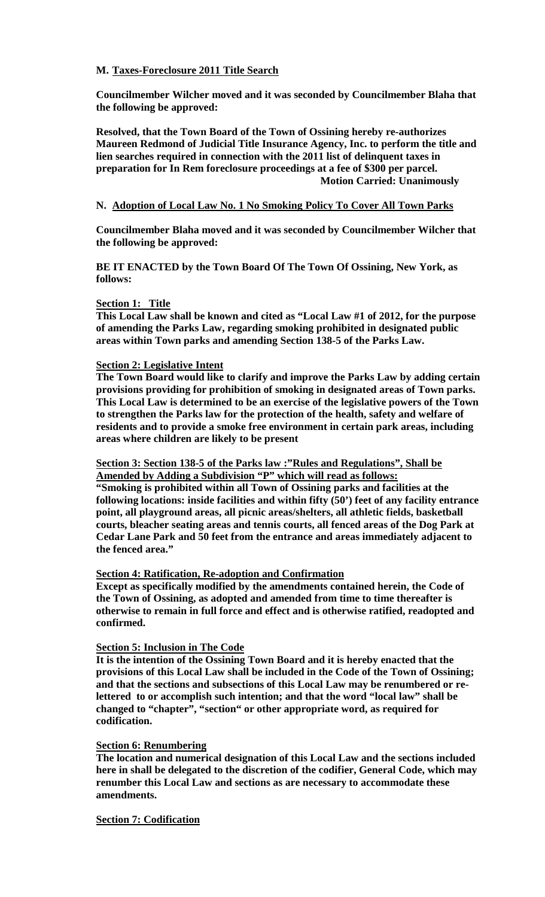# **M. Taxes-Foreclosure 2011 Title Search**

**Councilmember Wilcher moved and it was seconded by Councilmember Blaha that the following be approved:**

**Resolved, that the Town Board of the Town of Ossining hereby re-authorizes Maureen Redmond of Judicial Title Insurance Agency, Inc. to perform the title and lien searches required in connection with the 2011 list of delinquent taxes in preparation for In Rem foreclosure proceedings at a fee of \$300 per parcel. Motion Carried: Unanimously**

## **N. Adoption of Local Law No. 1 No Smoking Policy To Cover All Town Parks**

**Councilmember Blaha moved and it was seconded by Councilmember Wilcher that the following be approved:**

**BE IT ENACTED by the Town Board Of The Town Of Ossining, New York, as follows:**

## **Section 1: Title**

**This Local Law shall be known and cited as "Local Law #1 of 2012, for the purpose of amending the Parks Law, regarding smoking prohibited in designated public areas within Town parks and amending Section 138-5 of the Parks Law.**

## **Section 2: Legislative Intent**

**The Town Board would like to clarify and improve the Parks Law by adding certain provisions providing for prohibition of smoking in designated areas of Town parks. This Local Law is determined to be an exercise of the legislative powers of the Town to strengthen the Parks law for the protection of the health, safety and welfare of residents and to provide a smoke free environment in certain park areas, including areas where children are likely to be present**

#### **Section 3: Section 138-5 of the Parks law :"Rules and Regulations", Shall be Amended by Adding a Subdivision "P" which will read as follows:**

**"Smoking is prohibited within all Town of Ossining parks and facilities at the following locations: inside facilities and within fifty (50') feet of any facility entrance point, all playground areas, all picnic areas/shelters, all athletic fields, basketball courts, bleacher seating areas and tennis courts, all fenced areas of the Dog Park at Cedar Lane Park and 50 feet from the entrance and areas immediately adjacent to the fenced area."**

#### **Section 4: Ratification, Re-adoption and Confirmation**

**Except as specifically modified by the amendments contained herein, the Code of the Town of Ossining, as adopted and amended from time to time thereafter is otherwise to remain in full force and effect and is otherwise ratified, readopted and confirmed.**

# **Section 5: Inclusion in The Code**

**It is the intention of the Ossining Town Board and it is hereby enacted that the provisions of this Local Law shall be included in the Code of the Town of Ossining; and that the sections and subsections of this Local Law may be renumbered or relettered to or accomplish such intention; and that the word "local law" shall be changed to "chapter", "section" or other appropriate word, as required for codification.**

#### **Section 6: Renumbering**

**The location and numerical designation of this Local Law and the sections included here in shall be delegated to the discretion of the codifier, General Code, which may renumber this Local Law and sections as are necessary to accommodate these amendments.**

# **Section 7: Codification**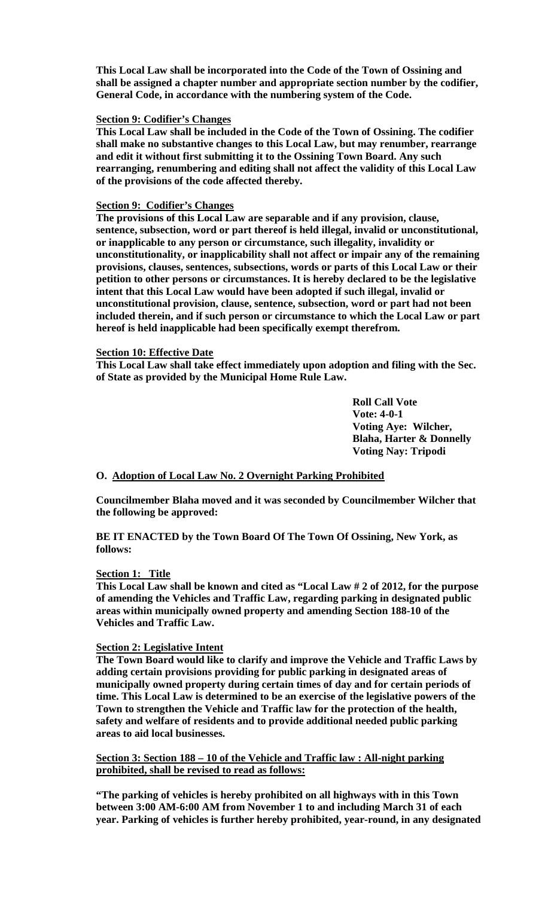**This Local Law shall be incorporated into the Code of the Town of Ossining and shall be assigned a chapter number and appropriate section number by the codifier, General Code, in accordance with the numbering system of the Code.**

#### **Section 9: Codifier's Changes**

**This Local Law shall be included in the Code of the Town of Ossining. The codifier shall make no substantive changes to this Local Law, but may renumber, rearrange and edit it without first submitting it to the Ossining Town Board. Any such rearranging, renumbering and editing shall not affect the validity of this Local Law of the provisions of the code affected thereby.**

## **Section 9: Codifier's Changes**

**The provisions of this Local Law are separable and if any provision, clause, sentence, subsection, word or part thereof is held illegal, invalid or unconstitutional, or inapplicable to any person or circumstance, such illegality, invalidity or unconstitutionality, or inapplicability shall not affect or impair any of the remaining provisions, clauses, sentences, subsections, words or parts of this Local Law or their petition to other persons or circumstances. It is hereby declared to be the legislative intent that this Local Law would have been adopted if such illegal, invalid or unconstitutional provision, clause, sentence, subsection, word or part had not been included therein, and if such person or circumstance to which the Local Law or part hereof is held inapplicable had been specifically exempt therefrom.**

# **Section 10: Effective Date**

**This Local Law shall take effect immediately upon adoption and filing with the Sec. of State as provided by the Municipal Home Rule Law.**

> **Roll Call Vote Vote: 4-0-1 Voting Aye: Wilcher, Blaha, Harter & Donnelly Voting Nay: Tripodi**

# **O. Adoption of Local Law No. 2 Overnight Parking Prohibited**

**Councilmember Blaha moved and it was seconded by Councilmember Wilcher that the following be approved:**

**BE IT ENACTED by the Town Board Of The Town Of Ossining, New York, as follows:**

#### **Section 1: Title**

**This Local Law shall be known and cited as "Local Law # 2 of 2012, for the purpose of amending the Vehicles and Traffic Law, regarding parking in designated public areas within municipally owned property and amending Section 188-10 of the Vehicles and Traffic Law.**

#### **Section 2: Legislative Intent**

**The Town Board would like to clarify and improve the Vehicle and Traffic Laws by adding certain provisions providing for public parking in designated areas of municipally owned property during certain times of day and for certain periods of time. This Local Law is determined to be an exercise of the legislative powers of the Town to strengthen the Vehicle and Traffic law for the protection of the health, safety and welfare of residents and to provide additional needed public parking areas to aid local businesses.**

**Section 3: Section 188 – 10 of the Vehicle and Traffic law : All-night parking prohibited, shall be revised to read as follows:**

**"The parking of vehicles is hereby prohibited on all highways with in this Town between 3:00 AM-6:00 AM from November 1 to and including March 31 of each year. Parking of vehicles is further hereby prohibited, year-round, in any designated**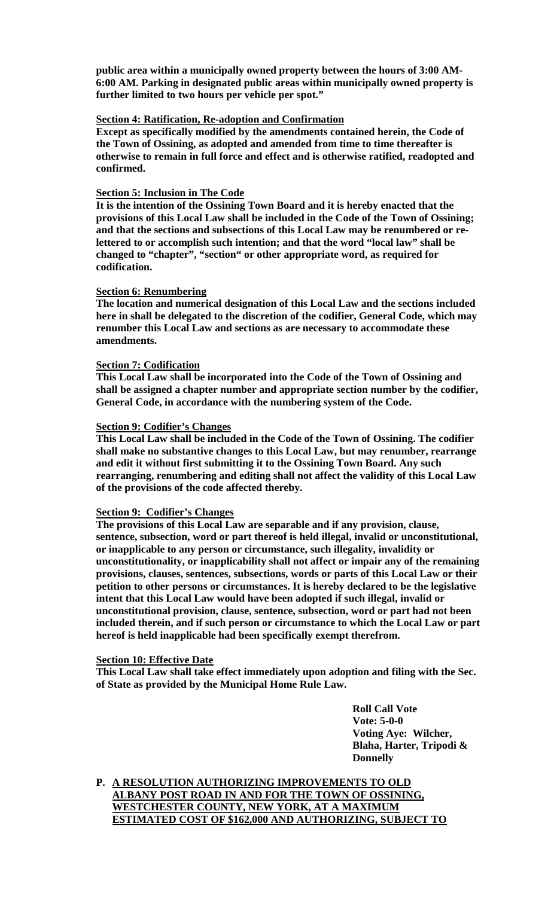**public area within a municipally owned property between the hours of 3:00 AM-6:00 AM. Parking in designated public areas within municipally owned property is further limited to two hours per vehicle per spot."**

#### **Section 4: Ratification, Re-adoption and Confirmation**

**Except as specifically modified by the amendments contained herein, the Code of the Town of Ossining, as adopted and amended from time to time thereafter is otherwise to remain in full force and effect and is otherwise ratified, readopted and confirmed.**

## **Section 5: Inclusion in The Code**

**It is the intention of the Ossining Town Board and it is hereby enacted that the provisions of this Local Law shall be included in the Code of the Town of Ossining; and that the sections and subsections of this Local Law may be renumbered or relettered to or accomplish such intention; and that the word "local law" shall be changed to "chapter", "section" or other appropriate word, as required for codification.**

## **Section 6: Renumbering**

**The location and numerical designation of this Local Law and the sections included here in shall be delegated to the discretion of the codifier, General Code, which may renumber this Local Law and sections as are necessary to accommodate these amendments.**

# **Section 7: Codification**

**This Local Law shall be incorporated into the Code of the Town of Ossining and shall be assigned a chapter number and appropriate section number by the codifier, General Code, in accordance with the numbering system of the Code.**

## **Section 9: Codifier's Changes**

**This Local Law shall be included in the Code of the Town of Ossining. The codifier shall make no substantive changes to this Local Law, but may renumber, rearrange and edit it without first submitting it to the Ossining Town Board. Any such rearranging, renumbering and editing shall not affect the validity of this Local Law of the provisions of the code affected thereby.**

# **Section 9: Codifier's Changes**

**The provisions of this Local Law are separable and if any provision, clause, sentence, subsection, word or part thereof is held illegal, invalid or unconstitutional, or inapplicable to any person or circumstance, such illegality, invalidity or unconstitutionality, or inapplicability shall not affect or impair any of the remaining provisions, clauses, sentences, subsections, words or parts of this Local Law or their petition to other persons or circumstances. It is hereby declared to be the legislative intent that this Local Law would have been adopted if such illegal, invalid or unconstitutional provision, clause, sentence, subsection, word or part had not been included therein, and if such person or circumstance to which the Local Law or part hereof is held inapplicable had been specifically exempt therefrom.**

#### **Section 10: Effective Date**

**This Local Law shall take effect immediately upon adoption and filing with the Sec. of State as provided by the Municipal Home Rule Law.**

> **Roll Call Vote Vote: 5-0-0 Voting Aye: Wilcher, Blaha, Harter, Tripodi & Donnelly**

**P. A RESOLUTION AUTHORIZING IMPROVEMENTS TO OLD ALBANY POST ROAD IN AND FOR THE TOWN OF OSSINING, WESTCHESTER COUNTY, NEW YORK, AT A MAXIMUM ESTIMATED COST OF \$162,000 AND AUTHORIZING, SUBJECT TO**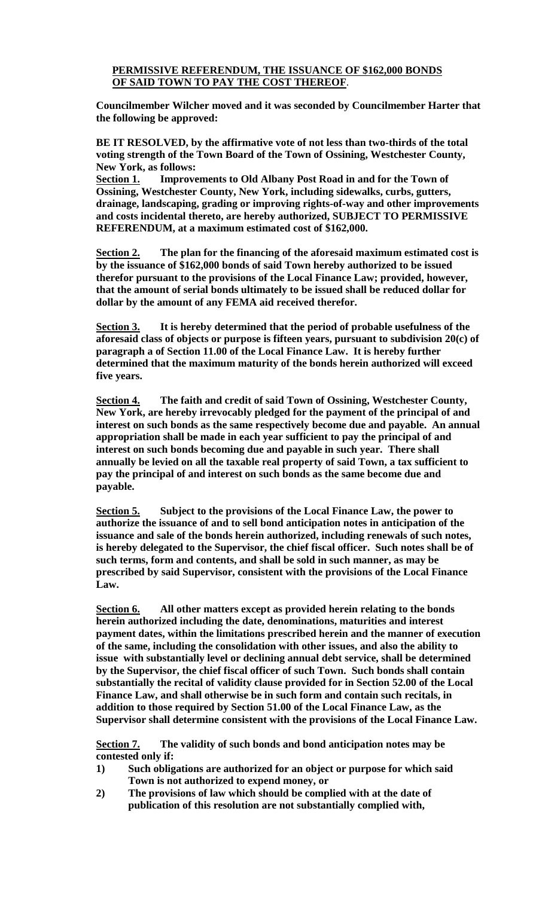# **PERMISSIVE REFERENDUM, THE ISSUANCE OF \$162,000 BONDS OF SAID TOWN TO PAY THE COST THEREOF**.

**Councilmember Wilcher moved and it was seconded by Councilmember Harter that the following be approved:**

**BE IT RESOLVED, by the affirmative vote of not less than two-thirds of the total voting strength of the Town Board of the Town of Ossining, Westchester County, New York, as follows:**

**Section 1. Improvements to Old Albany Post Road in and for the Town of Ossining, Westchester County, New York, including sidewalks, curbs, gutters, drainage, landscaping, grading or improving rights-of-way and other improvements and costs incidental thereto, are hereby authorized, SUBJECT TO PERMISSIVE REFERENDUM, at a maximum estimated cost of \$162,000.**

**Section 2. The plan for the financing of the aforesaid maximum estimated cost is by the issuance of \$162,000 bonds of said Town hereby authorized to be issued therefor pursuant to the provisions of the Local Finance Law; provided, however, that the amount of serial bonds ultimately to be issued shall be reduced dollar for dollar by the amount of any FEMA aid received therefor.**

**Section 3. It is hereby determined that the period of probable usefulness of the aforesaid class of objects or purpose is fifteen years, pursuant to subdivision 20(c) of paragraph a of Section 11.00 of the Local Finance Law. It is hereby further determined that the maximum maturity of the bonds herein authorized will exceed five years.**

**Section 4. The faith and credit of said Town of Ossining, Westchester County, New York, are hereby irrevocably pledged for the payment of the principal of and interest on such bonds as the same respectively become due and payable. An annual appropriation shall be made in each year sufficient to pay the principal of and interest on such bonds becoming due and payable in such year. There shall annually be levied on all the taxable real property of said Town, a tax sufficient to pay the principal of and interest on such bonds as the same become due and payable.**

**Section 5. Subject to the provisions of the Local Finance Law, the power to authorize the issuance of and to sell bond anticipation notes in anticipation of the issuance and sale of the bonds herein authorized, including renewals of such notes, is hereby delegated to the Supervisor, the chief fiscal officer. Such notes shall be of such terms, form and contents, and shall be sold in such manner, as may be prescribed by said Supervisor, consistent with the provisions of the Local Finance Law.**

**Section 6. All other matters except as provided herein relating to the bonds herein authorized including the date, denominations, maturities and interest payment dates, within the limitations prescribed herein and the manner of execution of the same, including the consolidation with other issues, and also the ability to issue with substantially level or declining annual debt service, shall be determined by the Supervisor, the chief fiscal officer of such Town. Such bonds shall contain substantially the recital of validity clause provided for in Section 52.00 of the Local Finance Law, and shall otherwise be in such form and contain such recitals, in addition to those required by Section 51.00 of the Local Finance Law, as the Supervisor shall determine consistent with the provisions of the Local Finance Law.**

**Section 7. The validity of such bonds and bond anticipation notes may be contested only if:**

- **1) Such obligations are authorized for an object or purpose for which said Town is not authorized to expend money, or**
- **2) The provisions of law which should be complied with at the date of publication of this resolution are not substantially complied with,**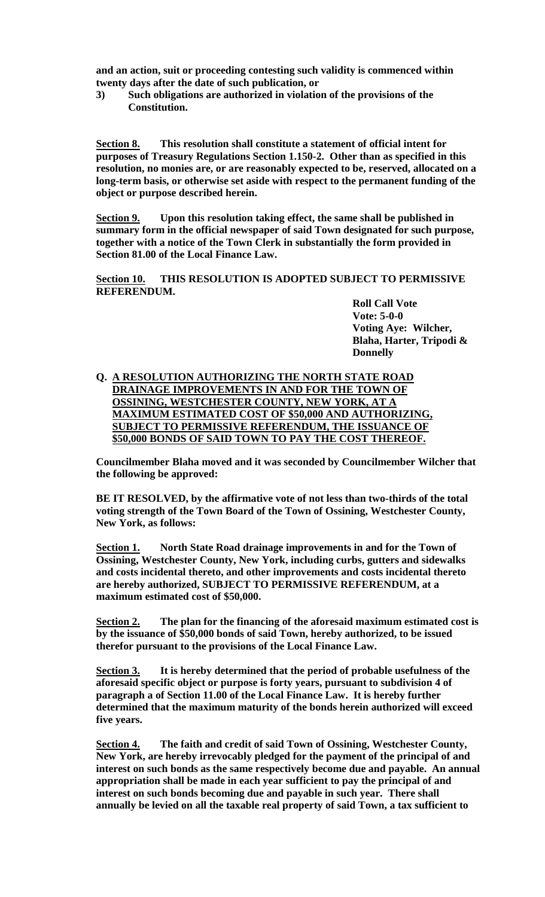**and an action, suit or proceeding contesting such validity is commenced within twenty days after the date of such publication, or**

**3) Such obligations are authorized in violation of the provisions of the Constitution.**

**Section 8. This resolution shall constitute a statement of official intent for purposes of Treasury Regulations Section 1.150-2. Other than as specified in this resolution, no monies are, or are reasonably expected to be, reserved, allocated on a long-term basis, or otherwise set aside with respect to the permanent funding of the object or purpose described herein.**

**Section 9. Upon this resolution taking effect, the same shall be published in summary form in the official newspaper of said Town designated for such purpose, together with a notice of the Town Clerk in substantially the form provided in Section 81.00 of the Local Finance Law.**

**Section 10. THIS RESOLUTION IS ADOPTED SUBJECT TO PERMISSIVE REFERENDUM.**

**Roll Call Vote Vote: 5-0-0 Voting Aye: Wilcher, Blaha, Harter, Tripodi & Donnelly**

# **Q. A RESOLUTION AUTHORIZING THE NORTH STATE ROAD DRAINAGE IMPROVEMENTS IN AND FOR THE TOWN OF OSSINING, WESTCHESTER COUNTY, NEW YORK, AT A MAXIMUM ESTIMATED COST OF \$50,000 AND AUTHORIZING, SUBJECT TO PERMISSIVE REFERENDUM, THE ISSUANCE OF \$50,000 BONDS OF SAID TOWN TO PAY THE COST THEREOF.**

**Councilmember Blaha moved and it was seconded by Councilmember Wilcher that the following be approved:**

**BE IT RESOLVED, by the affirmative vote of not less than two-thirds of the total voting strength of the Town Board of the Town of Ossining, Westchester County, New York, as follows:**

**Section 1. North State Road drainage improvements in and for the Town of Ossining, Westchester County, New York, including curbs, gutters and sidewalks and costs incidental thereto, and other improvements and costs incidental thereto are hereby authorized, SUBJECT TO PERMISSIVE REFERENDUM, at a maximum estimated cost of \$50,000.**

**Section 2. The plan for the financing of the aforesaid maximum estimated cost is by the issuance of \$50,000 bonds of said Town, hereby authorized, to be issued therefor pursuant to the provisions of the Local Finance Law.**

**Section 3. It is hereby determined that the period of probable usefulness of the aforesaid specific object or purpose is forty years, pursuant to subdivision 4 of paragraph a of Section 11.00 of the Local Finance Law. It is hereby further determined that the maximum maturity of the bonds herein authorized will exceed five years.**

**Section 4. The faith and credit of said Town of Ossining, Westchester County, New York, are hereby irrevocably pledged for the payment of the principal of and interest on such bonds as the same respectively become due and payable. An annual appropriation shall be made in each year sufficient to pay the principal of and interest on such bonds becoming due and payable in such year. There shall annually be levied on all the taxable real property of said Town, a tax sufficient to**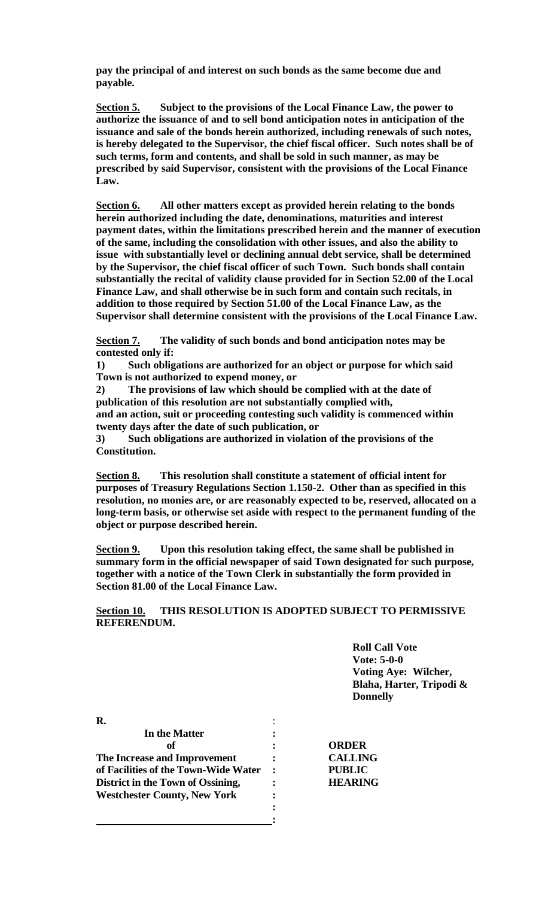**pay the principal of and interest on such bonds as the same become due and payable.**

**Section 5. Subject to the provisions of the Local Finance Law, the power to authorize the issuance of and to sell bond anticipation notes in anticipation of the issuance and sale of the bonds herein authorized, including renewals of such notes, is hereby delegated to the Supervisor, the chief fiscal officer. Such notes shall be of such terms, form and contents, and shall be sold in such manner, as may be prescribed by said Supervisor, consistent with the provisions of the Local Finance Law.**

**Section 6. All other matters except as provided herein relating to the bonds herein authorized including the date, denominations, maturities and interest payment dates, within the limitations prescribed herein and the manner of execution of the same, including the consolidation with other issues, and also the ability to issue with substantially level or declining annual debt service, shall be determined by the Supervisor, the chief fiscal officer of such Town. Such bonds shall contain substantially the recital of validity clause provided for in Section 52.00 of the Local Finance Law, and shall otherwise be in such form and contain such recitals, in addition to those required by Section 51.00 of the Local Finance Law, as the Supervisor shall determine consistent with the provisions of the Local Finance Law.**

**Section 7. The validity of such bonds and bond anticipation notes may be contested only if:**

**1) Such obligations are authorized for an object or purpose for which said Town is not authorized to expend money, or**

**2) The provisions of law which should be complied with at the date of publication of this resolution are not substantially complied with, and an action, suit or proceeding contesting such validity is commenced within twenty days after the date of such publication, or**

**3) Such obligations are authorized in violation of the provisions of the Constitution.**

**Section 8. This resolution shall constitute a statement of official intent for purposes of Treasury Regulations Section 1.150-2. Other than as specified in this resolution, no monies are, or are reasonably expected to be, reserved, allocated on a long-term basis, or otherwise set aside with respect to the permanent funding of the object or purpose described herein.**

**Section 9. Upon this resolution taking effect, the same shall be published in summary form in the official newspaper of said Town designated for such purpose, together with a notice of the Town Clerk in substantially the form provided in Section 81.00 of the Local Finance Law.**

# **Section 10. THIS RESOLUTION IS ADOPTED SUBJECT TO PERMISSIVE REFERENDUM.**

**Roll Call Vote Vote: 5-0-0 Voting Aye: Wilcher, Blaha, Harter, Tripodi & Donnelly**

| In the Matter                        |                |
|--------------------------------------|----------------|
| оf                                   | <b>ORDER</b>   |
| The Increase and Improvement         | <b>CALLING</b> |
| of Facilities of the Town-Wide Water | <b>PUBLIC</b>  |
| District in the Town of Ossining,    | <b>HEARING</b> |
| <b>Westchester County, New York</b>  |                |
|                                      |                |
|                                      |                |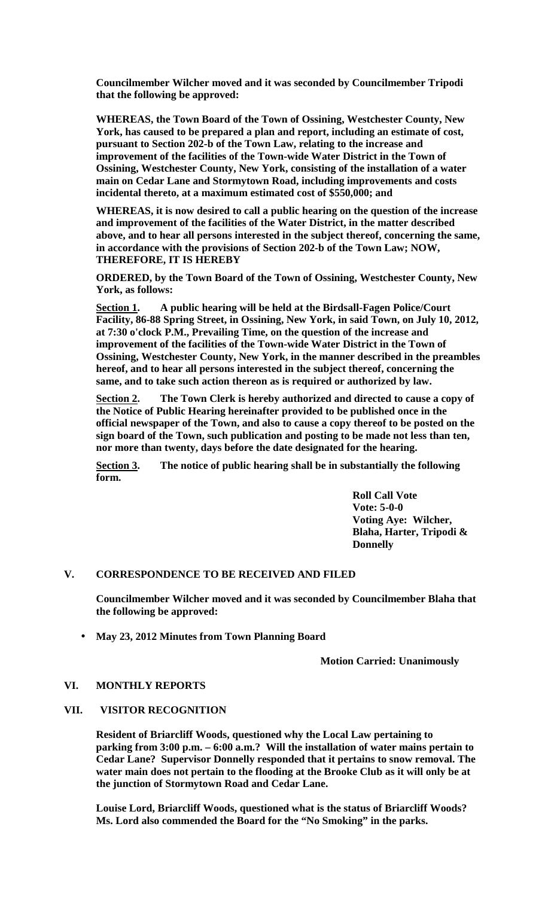**Councilmember Wilcher moved and it was seconded by Councilmember Tripodi that the following be approved:**

**WHEREAS, the Town Board of the Town of Ossining, Westchester County, New York, has caused to be prepared a plan and report, including an estimate of cost, pursuant to Section 202-b of the Town Law, relating to the increase and improvement of the facilities of the Town-wide Water District in the Town of Ossining, Westchester County, New York, consisting of the installation of a water main on Cedar Lane and Stormytown Road, including improvements and costs incidental thereto, at a maximum estimated cost of \$550,000; and**

**WHEREAS, it is now desired to call a public hearing on the question of the increase and improvement of the facilities of the Water District, in the matter described above, and to hear all persons interested in the subject thereof, concerning the same, in accordance with the provisions of Section 202-b of the Town Law; NOW, THEREFORE, IT IS HEREBY**

**ORDERED, by the Town Board of the Town of Ossining, Westchester County, New York, as follows:**

**Section 1. A public hearing will be held at the Birdsall-Fagen Police/Court Facility, 86-88 Spring Street, in Ossining, New York, in said Town, on July 10, 2012, at 7:30 o'clock P.M., Prevailing Time, on the question of the increase and improvement of the facilities of the Town-wide Water District in the Town of Ossining, Westchester County, New York, in the manner described in the preambles hereof, and to hear all persons interested in the subject thereof, concerning the same, and to take such action thereon as is required or authorized by law.**

**Section 2. The Town Clerk is hereby authorized and directed to cause a copy of the Notice of Public Hearing hereinafter provided to be published once in the official newspaper of the Town, and also to cause a copy thereof to be posted on the sign board of the Town, such publication and posting to be made not less than ten, nor more than twenty, days before the date designated for the hearing.**

**Section 3. The notice of public hearing shall be in substantially the following form.**

> **Roll Call Vote Vote: 5-0-0 Voting Aye: Wilcher, Blaha, Harter, Tripodi & Donnelly**

#### **V. CORRESPONDENCE TO BE RECEIVED AND FILED**

**Councilmember Wilcher moved and it was seconded by Councilmember Blaha that the following be approved:**

**May 23, 2012 Minutes from Town Planning Board**

**Motion Carried: Unanimously** 

#### **VI. MONTHLY REPORTS**

#### **VII. VISITOR RECOGNITION**

**Resident of Briarcliff Woods, questioned why the Local Law pertaining to parking from 3:00 p.m. – 6:00 a.m.? Will the installation of water mains pertain to Cedar Lane? Supervisor Donnelly responded that it pertains to snow removal. The water main does not pertain to the flooding at the Brooke Club as it will only be at the junction of Stormytown Road and Cedar Lane.**

**Louise Lord, Briarcliff Woods, questioned what is the status of Briarcliff Woods? Ms. Lord also commended the Board for the "No Smoking" in the parks.**